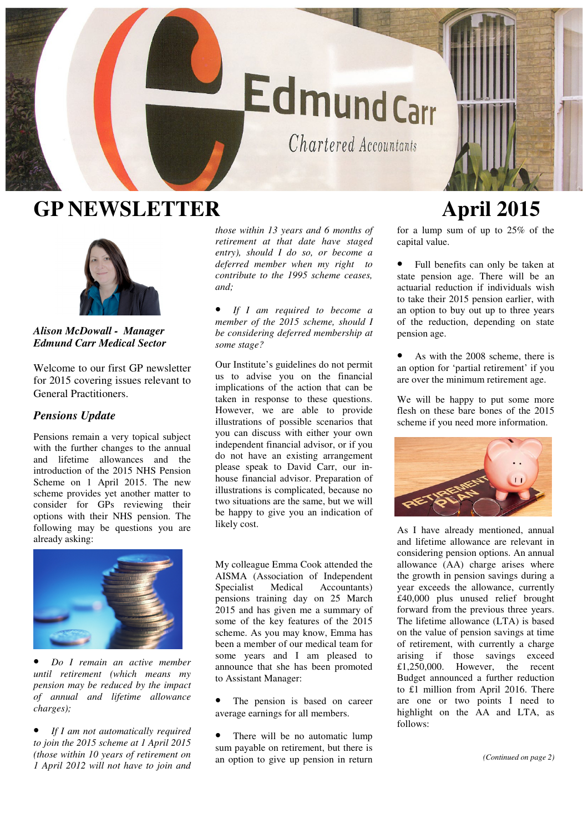

# **GP NEWSLETTER April 2015**



*Alison McDowall - Manager Edmund Carr Medical Sector* 

Welcome to our first GP newsletter for 2015 covering issues relevant to General Practitioners.

# *Pensions Update*

Pensions remain a very topical subject with the further changes to the annual and lifetime allowances and the introduction of the 2015 NHS Pension Scheme on 1 April 2015. The new scheme provides yet another matter to consider for GPs reviewing their options with their NHS pension. The following may be questions you are already asking:



• *Do I remain an active member until retirement (which means my pension may be reduced by the impact of annual and lifetime allowance charges);*

• *If I am not automatically required to join the 2015 scheme at 1 April 2015 (those within 10 years of retirement on 1 April 2012 will not have to join and* 

*those within 13 years and 6 months of retirement at that date have staged entry), should I do so, or become a deferred member when my right to contribute to the 1995 scheme ceases, and;*

• *If I am required to become a member of the 2015 scheme, should I be considering deferred membership at some stage?*

Our Institute's guidelines do not permit us to advise you on the financial implications of the action that can be taken in response to these questions. However, we are able to provide illustrations of possible scenarios that you can discuss with either your own independent financial advisor, or if you do not have an existing arrangement please speak to David Carr, our inhouse financial advisor. Preparation of illustrations is complicated, because no two situations are the same, but we will be happy to give you an indication of likely cost.

My colleague Emma Cook attended the AISMA (Association of Independent Specialist Medical Accountants) pensions training day on 25 March 2015 and has given me a summary of some of the key features of the 2015 scheme. As you may know, Emma has been a member of our medical team for some years and I am pleased to announce that she has been promoted to Assistant Manager:

- The pension is based on career average earnings for all members.
- There will be no automatic lump sum payable on retirement, but there is an option to give up pension in return

for a lump sum of up to 25% of the capital value.

• Full benefits can only be taken at state pension age. There will be an actuarial reduction if individuals wish to take their 2015 pension earlier, with an option to buy out up to three years of the reduction, depending on state pension age.

As with the 2008 scheme, there is an option for 'partial retirement' if you are over the minimum retirement age.

We will be happy to put some more flesh on these bare bones of the 2015 scheme if you need more information.



As I have already mentioned, annual and lifetime allowance are relevant in considering pension options. An annual allowance (AA) charge arises where the growth in pension savings during a year exceeds the allowance, currently £40,000 plus unused relief brought forward from the previous three years. The lifetime allowance (LTA) is based on the value of pension savings at time of retirement, with currently a charge arising if those savings exceed £1,250,000. However, the recent Budget announced a further reduction to £1 million from April 2016. There are one or two points I need to highlight on the AA and LTA, as follows: